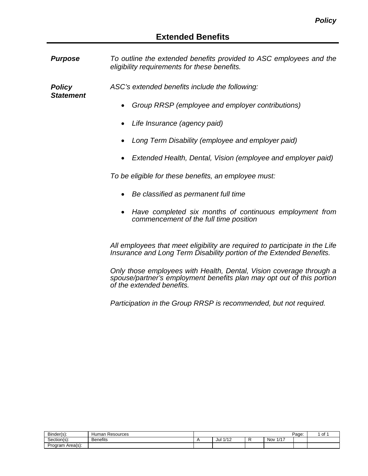*Purpose To outline the extended benefits provided to ASC employees and the eligibility requirements for these benefits.*

*Policy Statement* *ASC's extended benefits include the following:*

- *Group RRSP (employee and employer contributions)*
- *Life Insurance (agency paid)*
- *Long Term Disability (employee and employer paid)*
- *Extended Health, Dental, Vision (employee and employer paid)*

*To be eligible for these benefits, an employee must:*

- *Be classified as permanent full time*
- *Have completed six months of continuous employment from commencement of the full time position*

*All employees that meet eligibility are required to participate in the Life Insurance and Long Term Disability portion of the Extended Benefits.*

*Only those employees with Health, Dental, Vision coverage through a spouse/partner's employment benefits plan may opt out of this portion of the extended benefits.*

*Participation in the Group RRSP is recommended, but not required.*

| Binder(s):          | Resources<br>Human |             |         |                            | Page: | $\sim$<br>υı |
|---------------------|--------------------|-------------|---------|----------------------------|-------|--------------|
| Section(s):         | <b>Benefits</b>    | 1/12<br>Jul | $\cdot$ | 147<br>Nov<br>$\mathbf{1}$ |       |              |
| Area(s):<br>Program |                    |             |         |                            |       |              |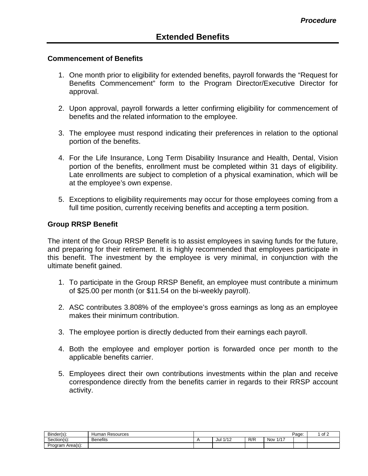### **Commencement of Benefits**

- 1. One month prior to eligibility for extended benefits, payroll forwards the "Request for Benefits Commencement" form to the Program Director/Executive Director for approval.
- 2. Upon approval, payroll forwards a letter confirming eligibility for commencement of benefits and the related information to the employee.
- 3. The employee must respond indicating their preferences in relation to the optional portion of the benefits.
- 4. For the Life Insurance, Long Term Disability Insurance and Health, Dental, Vision portion of the benefits, enrollment must be completed within 31 days of eligibility. Late enrollments are subject to completion of a physical examination, which will be at the employee's own expense.
- 5. Exceptions to eligibility requirements may occur for those employees coming from a full time position, currently receiving benefits and accepting a term position.

### **Group RRSP Benefit**

The intent of the Group RRSP Benefit is to assist employees in saving funds for the future, and preparing for their retirement. It is highly recommended that employees participate in this benefit. The investment by the employee is very minimal, in conjunction with the ultimate benefit gained.

- 1. To participate in the Group RRSP Benefit, an employee must contribute a minimum of \$25.00 per month (or \$11.54 on the bi-weekly payroll).
- 2. ASC contributes 3.808% of the employee's gross earnings as long as an employee makes their minimum contribution.
- 3. The employee portion is directly deducted from their earnings each payroll.
- 4. Both the employee and employer portion is forwarded once per month to the applicable benefits carrier.
- 5. Employees direct their own contributions investments within the plan and receive correspondence directly from the benefits carrier in regards to their RRSP account activity.

| Binder(s):       | Human<br>Resources |             |     |                   | Page: | of 2 |
|------------------|--------------------|-------------|-----|-------------------|-------|------|
| Section(s):      | <b>Benefits</b>    | 1/12<br>Jul | R/R | 147<br><b>Nov</b> |       |      |
| Program Area(s): |                    |             |     |                   |       |      |